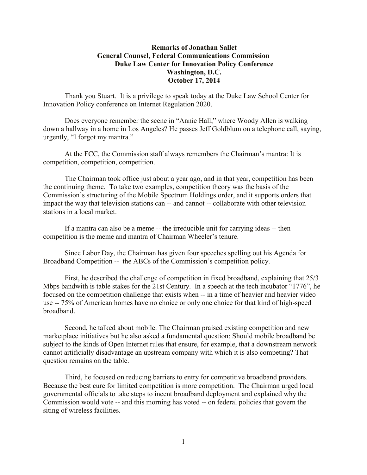## **Remarks of Jonathan Sallet General Counsel, Federal Communications Commission Duke Law Center for Innovation Policy Conference Washington, D.C. October 17, 2014**

Thank you Stuart. It is a privilege to speak today at the Duke Law School Center for Innovation Policy conference on Internet Regulation 2020.

Does everyone remember the scene in "Annie Hall," where Woody Allen is walking down a hallway in a home in Los Angeles? He passes Jeff Goldblum on a telephone call, saying, urgently, "I forgot my mantra."

At the FCC, the Commission staff always remembers the Chairman's mantra: It is competition, competition, competition.

The Chairman took office just about a year ago, and in that year, competition has been the continuing theme. To take two examples, competition theory was the basis of the Commission's structuring of the Mobile Spectrum Holdings order, and it supports orders that impact the way that television stations can -- and cannot -- collaborate with other television stations in a local market.

If a mantra can also be a meme -- the irreducible unit for carrying ideas -- then competition is the meme and mantra of Chairman Wheeler's tenure.

Since Labor Day, the Chairman has given four speeches spelling out his Agenda for Broadband Competition -- the ABCs of the Commission's competition policy.

First, he described the challenge of competition in fixed broadband, explaining that 25/3 Mbps bandwith is table stakes for the 21st Century. In a speech at the tech incubator "1776", he focused on the competition challenge that exists when -- in a time of heavier and heavier video use -- 75% of American homes have no choice or only one choice for that kind of high-speed broadband.

Second, he talked about mobile. The Chairman praised existing competition and new marketplace initiatives but he also asked a fundamental question: Should mobile broadband be subject to the kinds of Open Internet rules that ensure, for example, that a downstream network cannot artificially disadvantage an upstream company with which it is also competing? That question remains on the table.

Third, he focused on reducing barriers to entry for competitive broadband providers. Because the best cure for limited competition is more competition. The Chairman urged local governmental officials to take steps to incent broadband deployment and explained why the Commission would vote -- and this morning has voted -- on federal policies that govern the siting of wireless facilities.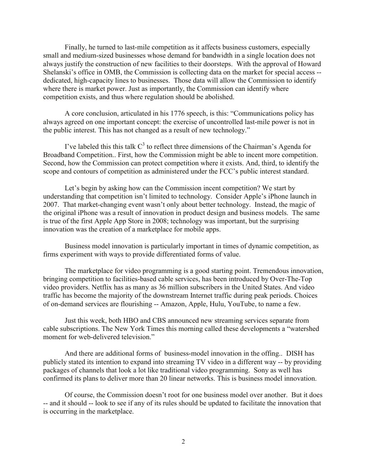Finally, he turned to last-mile competition as it affects business customers, especially small and medium-sized businesses whose demand for bandwidth in a single location does not always justify the construction of new facilities to their doorsteps. With the approval of Howard Shelanski's office in OMB, the Commission is collecting data on the market for special access - dedicated, high-capacity lines to businesses. Those data will allow the Commission to identify where there is market power. Just as importantly, the Commission can identify where competition exists, and thus where regulation should be abolished.

A core conclusion, articulated in his 1776 speech, is this: "Communications policy has always agreed on one important concept: the exercise of uncontrolled last-mile power is not in the public interest. This has not changed as a result of new technology."

I've labeled this this talk  $C^3$  to reflect three dimensions of the Chairman's Agenda for Broadband Competition.. First, how the Commission might be able to incent more competition. Second, how the Commission can protect competition where it exists. And, third, to identify the scope and contours of competition as administered under the FCC's public interest standard.

Let's begin by asking how can the Commission incent competition? We start by understanding that competition isn't limited to technology. Consider Apple's iPhone launch in 2007. That market-changing event wasn't only about better technology. Instead, the magic of the original iPhone was a result of innovation in product design and business models. The same is true of the first Apple App Store in 2008; technology was important, but the surprising innovation was the creation of a marketplace for mobile apps.

Business model innovation is particularly important in times of dynamic competition, as firms experiment with ways to provide differentiated forms of value.

The marketplace for video programming is a good starting point. Tremendous innovation, bringing competition to facilities-based cable services, has been introduced by Over-The-Top video providers. Netflix has as many as 36 million subscribers in the United States. And video traffic has become the majority of the downstream Internet traffic during peak periods. Choices of on-demand services are flourishing -- Amazon, Apple, Hulu, YouTube, to name a few.

Just this week, both HBO and CBS announced new streaming services separate from cable subscriptions. The New York Times this morning called these developments a "watershed moment for web-delivered television."

And there are additional forms of business-model innovation in the offing.. DISH has publicly stated its intention to expand into streaming TV video in a different way -- by providing packages of channels that look a lot like traditional video programming. Sony as well has confirmed its plans to deliver more than 20 linear networks. This is business model innovation.

Of course, the Commission doesn't root for one business model over another. But it does -- and it should -- look to see if any of its rules should be updated to facilitate the innovation that is occurring in the marketplace.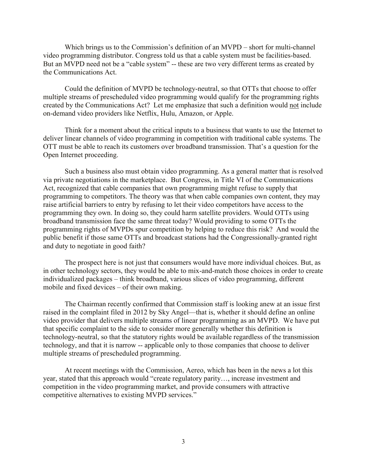Which brings us to the Commission's definition of an MVPD – short for multi-channel video programming distributor. Congress told us that a cable system must be facilities-based. But an MVPD need not be a "cable system" -- these are two very different terms as created by the Communications Act.

Could the definition of MVPD be technology-neutral, so that OTTs that choose to offer multiple streams of prescheduled video programming would qualify for the programming rights created by the Communications Act? Let me emphasize that such a definition would not include on-demand video providers like Netflix, Hulu, Amazon, or Apple.

Think for a moment about the critical inputs to a business that wants to use the Internet to deliver linear channels of video programming in competition with traditional cable systems. The OTT must be able to reach its customers over broadband transmission. That's a question for the Open Internet proceeding.

Such a business also must obtain video programming. As a general matter that is resolved via private negotiations in the marketplace. But Congress, in Title VI of the Communications Act, recognized that cable companies that own programming might refuse to supply that programming to competitors. The theory was that when cable companies own content, they may raise artificial barriers to entry by refusing to let their video competitors have access to the programming they own. In doing so, they could harm satellite providers. Would OTTs using broadband transmission face the same threat today? Would providing to some OTTs the programming rights of MVPDs spur competition by helping to reduce this risk? And would the public benefit if those same OTTs and broadcast stations had the Congressionally-granted right and duty to negotiate in good faith?

The prospect here is not just that consumers would have more individual choices. But, as in other technology sectors, they would be able to mix-and-match those choices in order to create individualized packages – think broadband, various slices of video programming, different mobile and fixed devices – of their own making.

The Chairman recently confirmed that Commission staff is looking anew at an issue first raised in the complaint filed in 2012 by Sky Angel—that is, whether it should define an online video provider that delivers multiple streams of linear programming as an MVPD. We have put that specific complaint to the side to consider more generally whether this definition is technology-neutral, so that the statutory rights would be available regardless of the transmission technology, and that it is narrow -- applicable only to those companies that choose to deliver multiple streams of prescheduled programming.

At recent meetings with the Commission, Aereo, which has been in the news a lot this year, stated that this approach would "create regulatory parity…, increase investment and competition in the video programming market, and provide consumers with attractive competitive alternatives to existing MVPD services."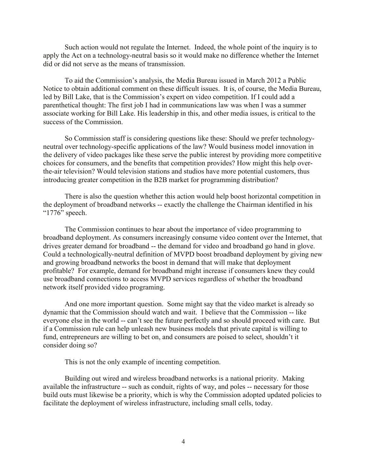Such action would not regulate the Internet. Indeed, the whole point of the inquiry is to apply the Act on a technology-neutral basis so it would make no difference whether the Internet did or did not serve as the means of transmission.

To aid the Commission's analysis, the Media Bureau issued in March 2012 a Public Notice to obtain additional comment on these difficult issues. It is, of course, the Media Bureau, led by Bill Lake, that is the Commission's expert on video competition. If I could add a parenthetical thought: The first job I had in communications law was when I was a summer associate working for Bill Lake. His leadership in this, and other media issues, is critical to the success of the Commission.

So Commission staff is considering questions like these: Should we prefer technologyneutral over technology-specific applications of the law? Would business model innovation in the delivery of video packages like these serve the public interest by providing more competitive choices for consumers, and the benefits that competition provides? How might this help overthe-air television? Would television stations and studios have more potential customers, thus introducing greater competition in the B2B market for programming distribution?

There is also the question whether this action would help boost horizontal competition in the deployment of broadband networks -- exactly the challenge the Chairman identified in his "1776" speech.

The Commission continues to hear about the importance of video programming to broadband deployment. As consumers increasingly consume video content over the Internet, that drives greater demand for broadband -- the demand for video and broadband go hand in glove. Could a technologically-neutral definition of MVPD boost broadband deployment by giving new and growing broadband networks the boost in demand that will make that deployment profitable? For example, demand for broadband might increase if consumers knew they could use broadband connections to access MVPD services regardless of whether the broadband network itself provided video programing.

And one more important question. Some might say that the video market is already so dynamic that the Commission should watch and wait. I believe that the Commission -- like everyone else in the world -- can't see the future perfectly and so should proceed with care. But if a Commission rule can help unleash new business models that private capital is willing to fund, entrepreneurs are willing to bet on, and consumers are poised to select, shouldn't it consider doing so?

This is not the only example of incenting competition.

Building out wired and wireless broadband networks is a national priority. Making available the infrastructure -- such as conduit, rights of way, and poles -- necessary for those build outs must likewise be a priority, which is why the Commission adopted updated policies to facilitate the deployment of wireless infrastructure, including small cells, today.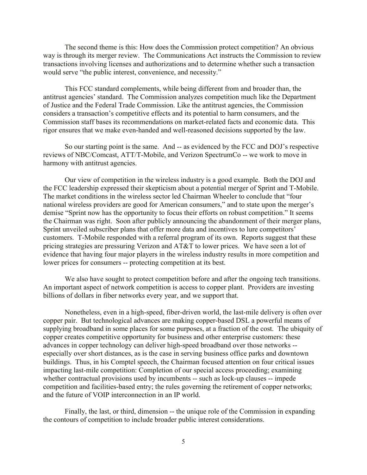The second theme is this: How does the Commission protect competition? An obvious way is through its merger review. The Communications Act instructs the Commission to review transactions involving licenses and authorizations and to determine whether such a transaction would serve "the public interest, convenience, and necessity."

This FCC standard complements, while being different from and broader than, the antitrust agencies' standard. The Commission analyzes competition much like the Department of Justice and the Federal Trade Commission. Like the antitrust agencies, the Commission considers a transaction's competitive effects and its potential to harm consumers, and the Commission staff bases its recommendations on market-related facts and economic data. This rigor ensures that we make even-handed and well-reasoned decisions supported by the law.

So our starting point is the same. And -- as evidenced by the FCC and DOJ's respective reviews of NBC/Comcast, ATT/T-Mobile, and Verizon SpectrumCo -- we work to move in harmony with antitrust agencies.

Our view of competition in the wireless industry is a good example. Both the DOJ and the FCC leadership expressed their skepticism about a potential merger of Sprint and T-Mobile. The market conditions in the wireless sector led Chairman Wheeler to conclude that "four national wireless providers are good for American consumers," and to state upon the merger's demise "Sprint now has the opportunity to focus their efforts on robust competition." It seems the Chairman was right. Soon after publicly announcing the abandonment of their merger plans, Sprint unveiled subscriber plans that offer more data and incentives to lure competitors' customers. T-Mobile responded with a referral program of its own. Reports suggest that these pricing strategies are pressuring Verizon and AT&T to lower prices. We have seen a lot of evidence that having four major players in the wireless industry results in more competition and lower prices for consumers -- protecting competition at its best.

We also have sought to protect competition before and after the ongoing tech transitions. An important aspect of network competition is access to copper plant. Providers are investing billions of dollars in fiber networks every year, and we support that.

Nonetheless, even in a high-speed, fiber-driven world, the last-mile delivery is often over copper pair. But technological advances are making copper-based DSL a powerful means of supplying broadband in some places for some purposes, at a fraction of the cost. The ubiquity of copper creates competitive opportunity for business and other enterprise customers: these advances in copper technology can deliver high-speed broadband over those networks - especially over short distances, as is the case in serving business office parks and downtown buildings. Thus, in his Comptel speech, the Chairman focused attention on four critical issues impacting last-mile competition: Completion of our special access proceeding; examining whether contractual provisions used by incumbents -- such as lock-up clauses -- impede competition and facilities-based entry; the rules governing the retirement of copper networks; and the future of VOIP interconnection in an IP world.

Finally, the last, or third, dimension -- the unique role of the Commission in expanding the contours of competition to include broader public interest considerations.